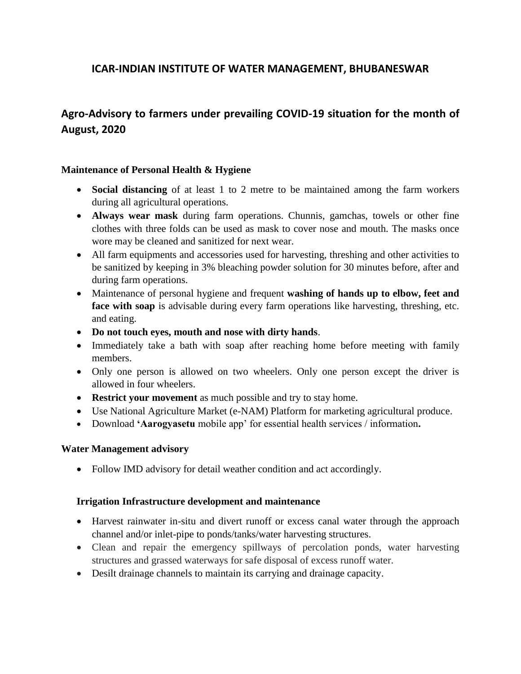# **ICAR-INDIAN INSTITUTE OF WATER MANAGEMENT, BHUBANESWAR**

# **Agro-Advisory to farmers under prevailing COVID-19 situation for the month of August, 2020**

### **Maintenance of Personal Health & Hygiene**

- **Social distancing** of at least 1 to 2 metre to be maintained among the farm workers during all agricultural operations.
- **Always wear mask** during farm operations. Chunnis, gamchas, towels or other fine clothes with three folds can be used as mask to cover nose and mouth. The masks once wore may be cleaned and sanitized for next wear.
- All farm equipments and accessories used for harvesting, threshing and other activities to be sanitized by keeping in 3% bleaching powder solution for 30 minutes before, after and during farm operations.
- Maintenance of personal hygiene and frequent **washing of hands up to elbow, feet and**  face with soap is advisable during every farm operations like harvesting, threshing, etc. and eating.
- **Do not touch eyes, mouth and nose with dirty hands**.
- Immediately take a bath with soap after reaching home before meeting with family members.
- Only one person is allowed on two wheelers. Only one person except the driver is allowed in four wheelers.
- **Restrict your movement** as much possible and try to stay home.
- Use National Agriculture Market (e-NAM) Platform for marketing agricultural produce.
- Download **'Aarogyasetu** mobile app' for essential health services / information**.**

### **Water Management advisory**

• Follow IMD advisory for detail weather condition and act accordingly.

### **Irrigation Infrastructure development and maintenance**

- Harvest rainwater in-situ and divert runoff or excess canal water through the approach channel and/or inlet-pipe to ponds/tanks/water harvesting structures.
- Clean and repair the emergency spillways of percolation ponds, water harvesting structures and grassed waterways for safe disposal of excess runoff water.
- Desilt drainage channels to maintain its carrying and drainage capacity.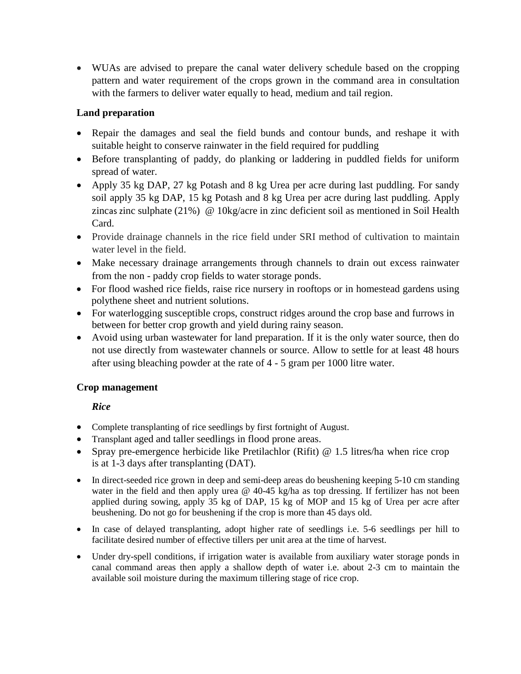WUAs are advised to prepare the canal water delivery schedule based on the cropping pattern and water requirement of the crops grown in the command area in consultation with the farmers to deliver water equally to head, medium and tail region.

### **Land preparation**

- Repair the damages and seal the field bunds and contour bunds, and reshape it with suitable height to conserve rainwater in the field required for puddling
- Before transplanting of paddy, do planking or laddering in puddled fields for uniform spread of water.
- Apply 35 kg DAP, 27 kg Potash and 8 kg Urea per acre during last puddling. For sandy soil apply 35 kg DAP, 15 kg Potash and 8 kg Urea per acre during last puddling. Apply zincas zinc sulphate (21%) @ 10kg/acre in zinc deficient soil as mentioned in Soil Health Card.
- Provide drainage channels in the rice field under SRI method of cultivation to maintain water level in the field.
- Make necessary drainage arrangements through channels to drain out excess rainwater from the non - paddy crop fields to water storage ponds.
- For flood washed rice fields, raise rice nursery in rooftops or in homestead gardens using polythene sheet and nutrient solutions.
- For waterlogging susceptible crops, construct ridges around the crop base and furrows in between for better crop growth and yield during rainy season.
- Avoid using urban wastewater for land preparation. If it is the only water source, then do not use directly from wastewater channels or source. Allow to settle for at least 48 hours after using bleaching powder at the rate of 4 - 5 gram per 1000 litre water.

### **Crop management**

## *Rice*

- Complete transplanting of rice seedlings by first fortnight of August.
- Transplant aged and taller seedlings in flood prone areas.
- Spray pre-emergence herbicide like Pretilachlor (Rifit) @ 1.5 litres/ha when rice crop is at 1-3 days after transplanting (DAT).
- In direct-seeded rice grown in deep and semi-deep areas do beushening keeping 5-10 cm standing water in the field and then apply urea @ 40-45 kg/ha as top dressing. If fertilizer has not been applied during sowing, apply 35 kg of DAP, 15 kg of MOP and 15 kg of Urea per acre after beushening. Do not go for beushening if the crop is more than 45 days old.
- In case of delayed transplanting, adopt higher rate of seedlings i.e. 5-6 seedlings per hill to facilitate desired number of effective tillers per unit area at the time of harvest.
- Under dry-spell conditions, if irrigation water is available from auxiliary water storage ponds in canal command areas then apply a shallow depth of water i.e. about 2-3 cm to maintain the available soil moisture during the maximum tillering stage of rice crop.